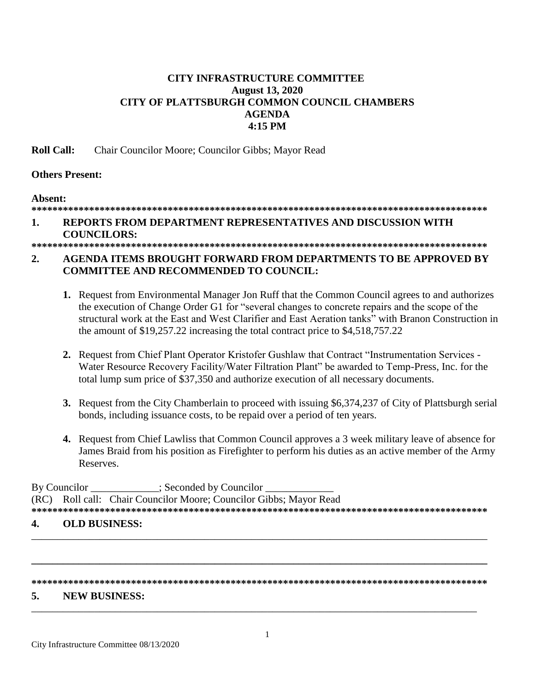## **CITY INFRASTRUCTURE COMMITTEE August 13, 2020 CITY OF PLATTSBURGH COMMON COUNCIL CHAMBERS AGENDA** 4:15 PM

**Roll Call:** Chair Councilor Moore; Councilor Gibbs; Mayor Read

## **Others Present:**

## Absent:

### REPORTS FROM DEPARTMENT REPRESENTATIVES AND DISCUSSION WITH  $\mathbf{1}$ .

# **COUNCILORS:**

### $2.$ **AGENDA ITEMS BROUGHT FORWARD FROM DEPARTMENTS TO BE APPROVED BY COMMITTEE AND RECOMMENDED TO COUNCIL:**

- 1. Request from Environmental Manager Jon Ruff that the Common Council agrees to and authorizes the execution of Change Order G1 for "several changes to concrete repairs and the scope of the structural work at the East and West Clarifier and East Aeration tanks" with Branon Construction in the amount of \$19,257.22 increasing the total contract price to \$4,518,757.22
- 2. Request from Chief Plant Operator Kristofer Gushlaw that Contract "Instrumentation Services -Water Resource Recovery Facility/Water Filtration Plant" be awarded to Temp-Press, Inc. for the total lump sum price of \$37,350 and authorize execution of all necessary documents.
- 3. Request from the City Chamberlain to proceed with issuing \$6,374,237 of City of Plattsburgh serial bonds, including issuance costs, to be repaid over a period of ten years.
- 4. Request from Chief Lawliss that Common Council approves a 3 week military leave of absence for James Braid from his position as Firefighter to perform his duties as an active member of the Army Reserves.

By Councilor : Seconded by Councilor Roll call: Chair Councilor Moore; Councilor Gibbs; Mayor Read  $(RC)$ 

### **OLD BUSINESS:** 4

#### 5. **NEW BUSINESS:**